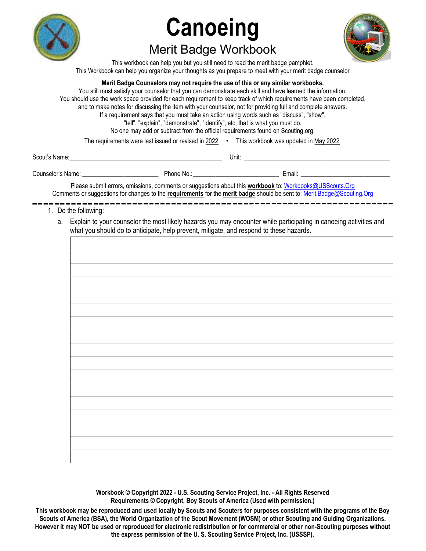

# Canoeing Merit Badge Workbook



This workbook can help you but you still need to read the merit badge pamphlet. This Workbook can help you organize your thoughts as you prepare to meet with your merit badge counselor

# Merit Badge Counselors may not require the use of this or any similar workbooks.

You still must satisfy your counselor that you can demonstrate each skill and have learned the information. You should use the work space provided for each requirement to keep track of which requirements have been completed, and to make notes for discussing the item with your counselor, not for providing full and complete answers. If a requirement says that you must take an action using words such as "discuss", "show", "tell", "explain", "demonstrate", "identify", etc, that is what you must do. No one may add or subtract from the official requirements found on Scouting.org.

The requirements were last issued or revised in 2022 • This workbook was updated in May 2022.

| $\sim$<br>Scout<br>___ | Unit: |
|------------------------|-------|
|                        |       |

| Counselor<br>⊧Name: | Phone<br>No. | mail: |
|---------------------|--------------|-------|
|                     |              |       |

Please submit errors, omissions, comments or suggestions about this workbook to: Workbooks@USScouts.Org Comments or suggestions for changes to the requirements for the merit badge should be sent to: Merit.Badge@Scouting.Org

- 1. Do the following:
	- a. Explain to your counselor the most likely hazards you may encounter while participating in canoeing activities and what you should do to anticipate, help prevent, mitigate, and respond to these hazards.

Workbook © Copyright 2022 - U.S. Scouting Service Project, Inc. - All Rights Reserved Requirements © Copyright, Boy Scouts of America (Used with permission.)

This workbook may be reproduced and used locally by Scouts and Scouters for purposes consistent with the programs of the Boy Scouts of America (BSA), the World Organization of the Scout Movement (WOSM) or other Scouting and Guiding Organizations. However it may NOT be used or reproduced for electronic redistribution or for commercial or other non-Scouting purposes without the express permission of the U. S. Scouting Service Project, Inc. (USSSP).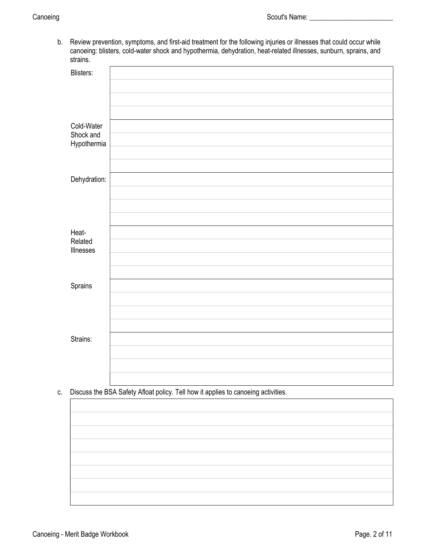b. Review prevention, symptoms, and first-aid treatment for the following injuries or illnesses that could occur while canoeing: blisters, cold-water shock and hypothermia, dehydration, heat-related illnesses, sunburn, sprains, and strains.

| <b>Blisters:</b>         |  |
|--------------------------|--|
|                          |  |
|                          |  |
|                          |  |
| Cold-Water               |  |
| Shock and<br>Hypothermia |  |
|                          |  |
|                          |  |
| Dehydration:             |  |
|                          |  |
|                          |  |
|                          |  |
| Heat-                    |  |
| Related<br>Illnesses     |  |
|                          |  |
|                          |  |
| Sprains                  |  |
|                          |  |
|                          |  |
|                          |  |
| Strains:                 |  |
|                          |  |
|                          |  |
|                          |  |

c. Discuss the BSA Safety Afloat policy. Tell how it applies to canoeing activities.

| the contract of the contract of the contract of the contract of the contract of | the control of the control of the control of the control of the control of the control of the control of the control of the control of the control of the control of the control of the control of the control of the control |  |
|---------------------------------------------------------------------------------|-------------------------------------------------------------------------------------------------------------------------------------------------------------------------------------------------------------------------------|--|
|                                                                                 |                                                                                                                                                                                                                               |  |
|                                                                                 |                                                                                                                                                                                                                               |  |
|                                                                                 |                                                                                                                                                                                                                               |  |
|                                                                                 |                                                                                                                                                                                                                               |  |
|                                                                                 |                                                                                                                                                                                                                               |  |
|                                                                                 |                                                                                                                                                                                                                               |  |
|                                                                                 |                                                                                                                                                                                                                               |  |
|                                                                                 |                                                                                                                                                                                                                               |  |
|                                                                                 |                                                                                                                                                                                                                               |  |
|                                                                                 |                                                                                                                                                                                                                               |  |
|                                                                                 |                                                                                                                                                                                                                               |  |
|                                                                                 |                                                                                                                                                                                                                               |  |
|                                                                                 |                                                                                                                                                                                                                               |  |
|                                                                                 |                                                                                                                                                                                                                               |  |
|                                                                                 |                                                                                                                                                                                                                               |  |
|                                                                                 |                                                                                                                                                                                                                               |  |
|                                                                                 |                                                                                                                                                                                                                               |  |
|                                                                                 |                                                                                                                                                                                                                               |  |
|                                                                                 |                                                                                                                                                                                                                               |  |
|                                                                                 |                                                                                                                                                                                                                               |  |
|                                                                                 |                                                                                                                                                                                                                               |  |
|                                                                                 |                                                                                                                                                                                                                               |  |
|                                                                                 |                                                                                                                                                                                                                               |  |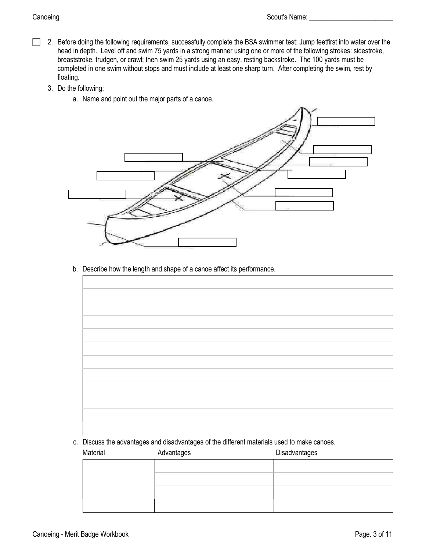- □ 2. Before doing the following requirements, successfully complete the BSA swimmer test: Jump feetfirst into water over the head in depth. Level off and swim 75 yards in a strong manner using one or more of the following strokes: sidestroke, breaststroke, trudgen, or crawl; then swim 25 yards using an easy, resting backstroke. The 100 yards must be completed in one swim without stops and must include at least one sharp turn. After completing the swim, rest by floating.
	- 3. Do the following:
		- a. Name and point out the major parts of a canoe.



b. Describe how the length and shape of a canoe affect its performance.

c. Discuss the advantages and disadvantages of the different materials used to make canoes.

| Material | Advantages | Disadvantages |  |
|----------|------------|---------------|--|
|          |            |               |  |
|          |            |               |  |
|          |            |               |  |
|          |            |               |  |
|          |            |               |  |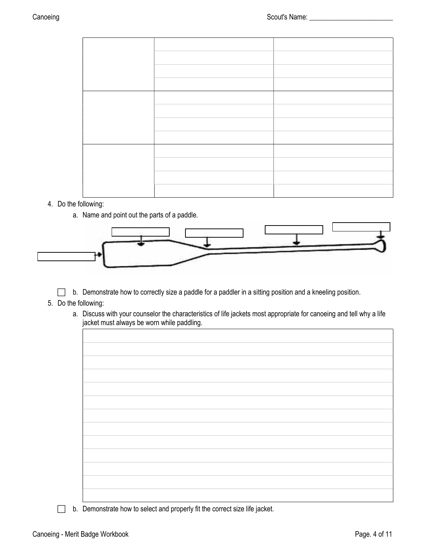# 4. Do the following:

a. Name and point out the parts of a paddle.



- b. Demonstrate how to correctly size a paddle for a paddler in a sitting position and a kneeling position.
- 5. Do the following:
	- a. Discuss with your counselor the characteristics of life jackets most appropriate for canoeing and tell why a life jacket must always be worn while paddling.

| b. Demonstrate how to select and properly fit the correct size life jacket. |  |  |
|-----------------------------------------------------------------------------|--|--|
|                                                                             |  |  |

Canoeing - Merit Badge Workbook **Page. 4 of 11** November 2012 12:00 Page. 4 of 11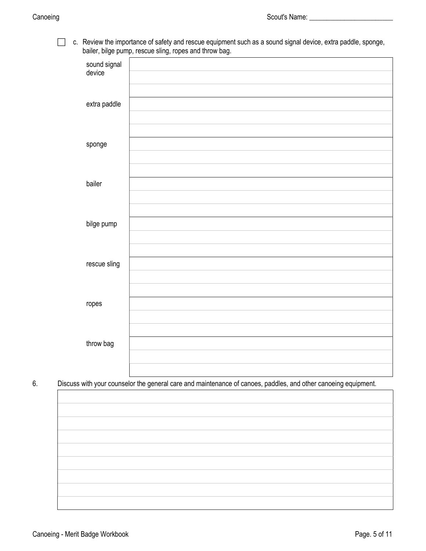c. Review the importance of safety and rescue equipment such as a sound signal device, extra paddle, sponge, bailer, bilge pump, rescue sling, ropes and throw bag.

| $\sim$ $\sim$ $\sim$   | $\cdots$<br>$\sim$ $\sim$<br>×. |
|------------------------|---------------------------------|
| sound signal<br>device |                                 |
|                        |                                 |
|                        |                                 |
| extra paddle           |                                 |
|                        |                                 |
|                        |                                 |
| sponge                 |                                 |
|                        |                                 |
| bailer                 |                                 |
|                        |                                 |
|                        |                                 |
| bilge pump             |                                 |
|                        |                                 |
|                        |                                 |
| rescue sling           |                                 |
|                        |                                 |
|                        |                                 |
| ropes                  |                                 |
|                        |                                 |
|                        |                                 |
| throw bag              |                                 |
|                        |                                 |
|                        |                                 |

6. Discuss with your counselor the general care and maintenance of canoes, paddles, and other canoeing equipment.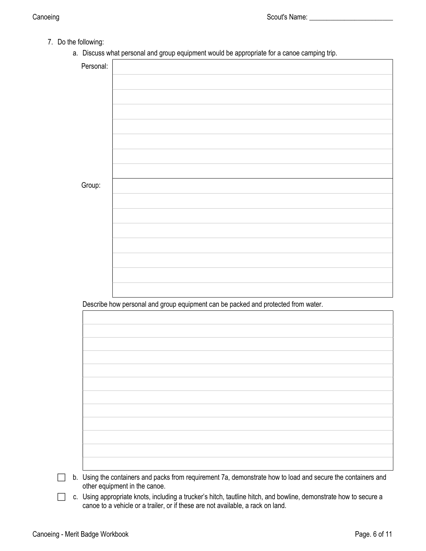- 7. Do the following:
	- a. Discuss what personal and group equipment would be appropriate for a canoe camping trip.

|        | Personal:                                                                         |
|--------|-----------------------------------------------------------------------------------|
|        |                                                                                   |
|        |                                                                                   |
|        |                                                                                   |
|        |                                                                                   |
|        |                                                                                   |
|        |                                                                                   |
|        |                                                                                   |
|        |                                                                                   |
| Group: |                                                                                   |
|        |                                                                                   |
|        |                                                                                   |
|        |                                                                                   |
|        |                                                                                   |
|        |                                                                                   |
|        |                                                                                   |
|        |                                                                                   |
|        |                                                                                   |
|        |                                                                                   |
|        |                                                                                   |
|        | Describe how personal and group equipment can be packed and protected from water. |
|        |                                                                                   |
|        |                                                                                   |
|        |                                                                                   |
|        |                                                                                   |
|        |                                                                                   |
|        |                                                                                   |
|        |                                                                                   |
|        |                                                                                   |
|        |                                                                                   |
|        |                                                                                   |
|        |                                                                                   |
|        |                                                                                   |

 c. Using appropriate knots, including a trucker's hitch, tautline hitch, and bowline, demonstrate how to secure a canoe to a vehicle or a trailer, or if these are not available, a rack on land.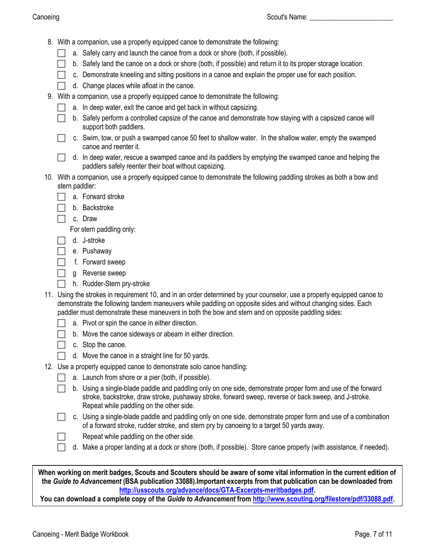- 8. With a companion, use a properly equipped canoe to demonstrate the following:
	- a. Safely carry and launch the canoe from a dock or shore (both, if possible).
	- $\Box$  b. Safely land the canoe on a dock or shore (both, if possible) and return it to its proper storage location.
	- $\Box$  c. Demonstrate kneeling and sitting positions in a canoe and explain the proper use for each position.
	- $\Box$  d. Change places while afloat in the canoe.
- 9. With a companion, use a properly equipped canoe to demonstrate the following:
	- $\Box$  a. In deep water, exit the canoe and get back in without capsizing.
	- b. Safely perform a controlled capsize of the canoe and demonstrate how staying with a capsized canoe will support both paddlers.
		- c. Swim, tow, or push a swamped canoe 50 feet to shallow water. In the shallow water, empty the swamped canoe and reenter it.
	- $\Box$  d. In deep water, rescue a swamped canoe and its paddlers by emptying the swamped canoe and helping the paddlers safely reenter their boat without capsizing.
- 10. With a companion, use a properly equipped canoe to demonstrate the following paddling strokes as both a bow and stern paddler:
	- a. Forward stroke
	- $\Box$  b. Backstroke
	- c. Draw
		- For stern paddling only:
	- d. J-stroke
	- e. Pushaway
		- f. Forward sweep
	- **g** Reverse sweep
	- h. Rudder-Stern pry-stroke
- 11. Using the strokes in requirement 10, and in an order determined by your counselor, use a properly equipped canoe to demonstrate the following tandem maneuvers while paddling on opposite sides and without changing sides. Each paddler must demonstrate these maneuvers in both the bow and stern and on opposite paddling sides:
	- $\Box$  a. Pivot or spin the canoe in either direction.
	- $\Box$  b. Move the canoe sideways or abeam in either direction.
	- $\Box$  c. Stop the canoe.
	- $\Box$  d. Move the canoe in a straight line for 50 yards.
- 12. Use a properly equipped canoe to demonstrate solo canoe handling:
	- $\Box$  a. Launch from shore or a pier (both, if possible).
	- b. Using a single-blade paddle and paddling only on one side, demonstrate proper form and use of the forward stroke, backstroke, draw stroke, pushaway stroke, forward sweep, reverse or back sweep, and J-stroke. Repeat while paddling on the other side.
	- c. Using a single-blade paddle and paddling only on one side, demonstrate proper form and use of a combination of a forward stroke, rudder stroke, and stern pry by canoeing to a target 50 yards away.
		- Repeat while paddling on the other side.
	- d. Make a proper landing at a dock or shore (both, if possible). Store canoe properly (with assistance, if needed).

When working on merit badges, Scouts and Scouters should be aware of some vital information in the current edition of the Guide to Advancement (BSA publication 33088).Important excerpts from that publication can be downloaded from http://usscouts.org/advance/docs/GTA-Excerpts-meritbadges.pdf.

You can download a complete copy of the Guide to Advancement from http://www.scouting.org/filestore/pdf/33088.pdf.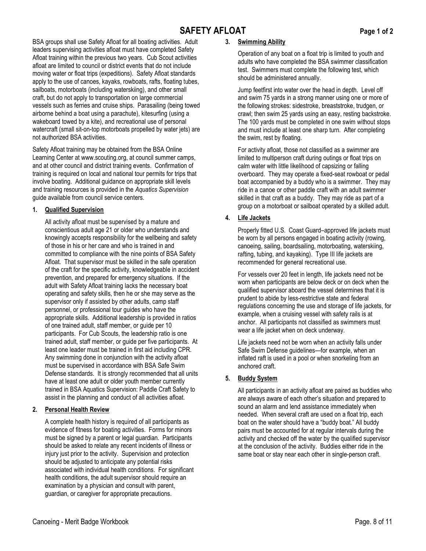# SAFETY AFLOAT Page 1 of 2

BSA groups shall use Safety Afloat for all boating activities. Adult leaders supervising activities afloat must have completed Safety Afloat training within the previous two years. Cub Scout activities afloat are limited to council or district events that do not include moving water or float trips (expeditions). Safety Afloat standards apply to the use of canoes, kayaks, rowboats, rafts, floating tubes, sailboats, motorboats (including waterskiing), and other small craft, but do not apply to transportation on large commercial vessels such as ferries and cruise ships. Parasailing (being towed airborne behind a boat using a parachute), kitesurfing (using a wakeboard towed by a kite), and recreational use of personal watercraft (small sit-on-top motorboats propelled by water jets) are not authorized BSA activities.

Safety Afloat training may be obtained from the BSA Online Learning Center at www.scouting.org, at council summer camps, and at other council and district training events. Confirmation of training is required on local and national tour permits for trips that involve boating. Additional guidance on appropriate skill levels and training resources is provided in the Aquatics Supervision guide available from council service centers.

# 1. Qualified Supervision

All activity afloat must be supervised by a mature and conscientious adult age 21 or older who understands and knowingly accepts responsibility for the wellbeing and safety of those in his or her care and who is trained in and committed to compliance with the nine points of BSA Safety Afloat. That supervisor must be skilled in the safe operation of the craft for the specific activity, knowledgeable in accident prevention, and prepared for emergency situations. If the adult with Safety Afloat training lacks the necessary boat operating and safety skills, then he or she may serve as the supervisor only if assisted by other adults, camp staff personnel, or professional tour guides who have the appropriate skills. Additional leadership is provided in ratios of one trained adult, staff member, or guide per 10 participants. For Cub Scouts, the leadership ratio is one trained adult, staff member, or guide per five participants. At least one leader must be trained in first aid including CPR. Any swimming done in conjunction with the activity afloat must be supervised in accordance with BSA Safe Swim Defense standards. It is strongly recommended that all units have at least one adult or older youth member currently trained in BSA Aquatics Supervision: Paddle Craft Safety to assist in the planning and conduct of all activities afloat.

# 2. Personal Health Review

A complete health history is required of all participants as evidence of fitness for boating activities. Forms for minors must be signed by a parent or legal guardian. Participants should be asked to relate any recent incidents of illness or injury just prior to the activity. Supervision and protection should be adjusted to anticipate any potential risks associated with individual health conditions. For significant health conditions, the adult supervisor should require an examination by a physician and consult with parent, guardian, or caregiver for appropriate precautions.

# 3. Swimming Ability

Operation of any boat on a float trip is limited to youth and adults who have completed the BSA swimmer classification test. Swimmers must complete the following test, which should be administered annually.

Jump feetfirst into water over the head in depth. Level off and swim 75 yards in a strong manner using one or more of the following strokes: sidestroke, breaststroke, trudgen, or crawl; then swim 25 yards using an easy, resting backstroke. The 100 yards must be completed in one swim without stops and must include at least one sharp turn. After completing the swim, rest by floating.

For activity afloat, those not classified as a swimmer are limited to multiperson craft during outings or float trips on calm water with little likelihood of capsizing or falling overboard. They may operate a fixed-seat rowboat or pedal boat accompanied by a buddy who is a swimmer. They may ride in a canoe or other paddle craft with an adult swimmer skilled in that craft as a buddy. They may ride as part of a group on a motorboat or sailboat operated by a skilled adult.

# 4. Life Jackets

Properly fitted U.S. Coast Guard–approved life jackets must be worn by all persons engaged in boating activity (rowing, canoeing, sailing, boardsailing, motorboating, waterskiing, rafting, tubing, and kayaking). Type III life jackets are recommended for general recreational use.

For vessels over 20 feet in length, life jackets need not be worn when participants are below deck or on deck when the qualified supervisor aboard the vessel determines that it is prudent to abide by less-restrictive state and federal regulations concerning the use and storage of life jackets, for example, when a cruising vessel with safety rails is at anchor. All participants not classified as swimmers must wear a life jacket when on deck underway.

Life jackets need not be worn when an activity falls under Safe Swim Defense guidelines—for example, when an inflated raft is used in a pool or when snorkeling from an anchored craft.

# 5. Buddy System

All participants in an activity afloat are paired as buddies who are always aware of each other's situation and prepared to sound an alarm and lend assistance immediately when needed. When several craft are used on a float trip, each boat on the water should have a "buddy boat." All buddy pairs must be accounted for at regular intervals during the activity and checked off the water by the qualified supervisor at the conclusion of the activity. Buddies either ride in the same boat or stay near each other in single-person craft.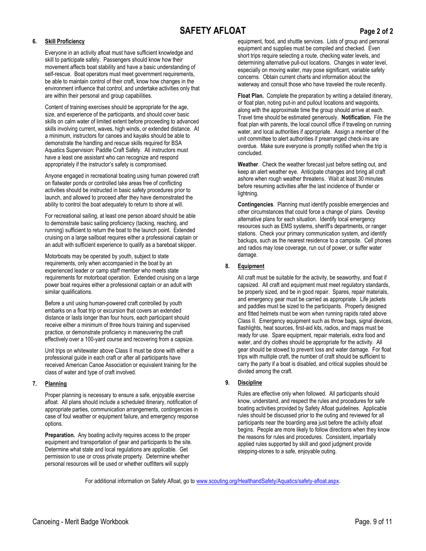# SAFETY AFLOAT Page 2 of 2

#### 6. Skill Proficiency

Everyone in an activity afloat must have sufficient knowledge and skill to participate safely. Passengers should know how their movement affects boat stability and have a basic understanding of self-rescue. Boat operators must meet government requirements, be able to maintain control of their craft, know how changes in the environment influence that control, and undertake activities only that are within their personal and group capabilities.

Content of training exercises should be appropriate for the age, size, and experience of the participants, and should cover basic skills on calm water of limited extent before proceeding to advanced skills involving current, waves, high winds, or extended distance. At a minimum, instructors for canoes and kayaks should be able to demonstrate the handling and rescue skills required for BSA Aquatics Supervision: Paddle Craft Safety. All instructors must have a least one assistant who can recognize and respond appropriately if the instructor's safety is compromised.

Anyone engaged in recreational boating using human powered craft on flatwater ponds or controlled lake areas free of conflicting activities should be instructed in basic safety procedures prior to launch, and allowed to proceed after they have demonstrated the ability to control the boat adequately to return to shore at will.

For recreational sailing, at least one person aboard should be able to demonstrate basic sailing proficiency (tacking, reaching, and running) sufficient to return the boat to the launch point. Extended cruising on a large sailboat requires either a professional captain or an adult with sufficient experience to qualify as a bareboat skipper.

Motorboats may be operated by youth, subject to state requirements, only when accompanied in the boat by an experienced leader or camp staff member who meets state requirements for motorboat operation. Extended cruising on a large power boat requires either a professional captain or an adult with similar qualifications.

Before a unit using human-powered craft controlled by youth embarks on a float trip or excursion that covers an extended distance or lasts longer than four hours, each participant should receive either a minimum of three hours training and supervised practice, or demonstrate proficiency in maneuvering the craft effectively over a 100-yard course and recovering from a capsize.

Unit trips on whitewater above Class II must be done with either a professional guide in each craft or after all participants have received American Canoe Association or equivalent training for the class of water and type of craft involved.

#### 7. Planning

Proper planning is necessary to ensure a safe, enjoyable exercise afloat. All plans should include a scheduled itinerary, notification of appropriate parties, communication arrangements, contingencies in case of foul weather or equipment failure, and emergency response options.

Preparation. Any boating activity requires access to the proper equipment and transportation of gear and participants to the site. Determine what state and local regulations are applicable. Get permission to use or cross private property. Determine whether personal resources will be used or whether outfitters will supply

equipment, food, and shuttle services. Lists of group and personal equipment and supplies must be compiled and checked. Even short trips require selecting a route, checking water levels, and determining alternative pull-out locations. Changes in water level, especially on moving water, may pose significant, variable safety concerns. Obtain current charts and information about the waterway and consult those who have traveled the route recently.

Float Plan. Complete the preparation by writing a detailed itinerary, or float plan, noting put-in and pullout locations and waypoints, along with the approximate time the group should arrive at each. Travel time should be estimated generously. Notification. File the float plan with parents, the local council office if traveling on running water, and local authorities if appropriate. Assign a member of the unit committee to alert authorities if prearranged check-ins are overdue. Make sure everyone is promptly notified when the trip is concluded.

Weather. Check the weather forecast just before setting out, and keep an alert weather eye. Anticipate changes and bring all craft ashore when rough weather threatens. Wait at least 30 minutes before resuming activities after the last incidence of thunder or lightning.

Contingencies. Planning must identify possible emergencies and other circumstances that could force a change of plans. Develop alternative plans for each situation. Identify local emergency resources such as EMS systems, sheriff's departments, or ranger stations. Check your primary communication system, and identify backups, such as the nearest residence to a campsite. Cell phones and radios may lose coverage, run out of power, or suffer water damage.

#### 8. Equipment

All craft must be suitable for the activity, be seaworthy, and float if capsized. All craft and equipment must meet regulatory standards, be properly sized, and be in good repair. Spares, repair materials, and emergency gear must be carried as appropriate. Life jackets and paddles must be sized to the participants. Properly designed and fitted helmets must be worn when running rapids rated above Class II. Emergency equipment such as throw bags, signal devices, flashlights, heat sources, first-aid kits, radios, and maps must be ready for use. Spare equipment, repair materials, extra food and water, and dry clothes should be appropriate for the activity. All gear should be stowed to prevent loss and water damage. For float trips with multiple craft, the number of craft should be sufficient to carry the party if a boat is disabled, and critical supplies should be divided among the craft.

#### 9. Discipline

Rules are effective only when followed. All participants should know, understand, and respect the rules and procedures for safe boating activities provided by Safety Afloat guidelines. Applicable rules should be discussed prior to the outing and reviewed for all participants near the boarding area just before the activity afloat begins. People are more likely to follow directions when they know the reasons for rules and procedures. Consistent, impartially applied rules supported by skill and good judgment provide stepping-stones to a safe, enjoyable outing.

For additional information on Safety Afloat, go to www.scouting.org/HealthandSafety/Aquatics/safety-afloat.aspx.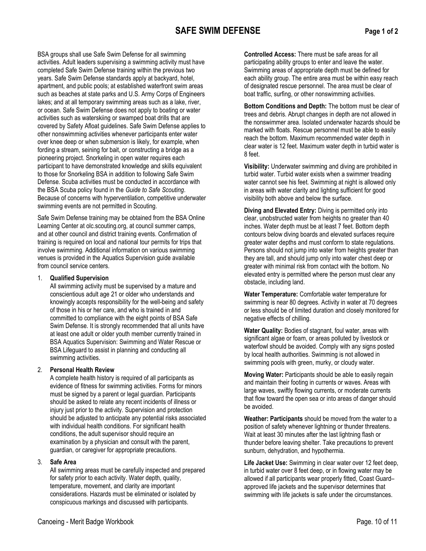# SAFE SWIM DEFENSE Page 1 of 2

BSA groups shall use Safe Swim Defense for all swimming activities. Adult leaders supervising a swimming activity must have completed Safe Swim Defense training within the previous two years. Safe Swim Defense standards apply at backyard, hotel, apartment, and public pools; at established waterfront swim areas such as beaches at state parks and U.S. Army Corps of Engineers lakes; and at all temporary swimming areas such as a lake, river, or ocean. Safe Swim Defense does not apply to boating or water activities such as waterskiing or swamped boat drills that are covered by Safety Afloat guidelines. Safe Swim Defense applies to other nonswimming activities whenever participants enter water over knee deep or when submersion is likely, for example, when fording a stream, seining for bait, or constructing a bridge as a pioneering project. Snorkeling in open water requires each participant to have demonstrated knowledge and skills equivalent to those for Snorkeling BSA in addition to following Safe Swim Defense. Scuba activities must be conducted in accordance with the BSA Scuba policy found in the Guide to Safe Scouting. Because of concerns with hyperventilation, competitive underwater swimming events are not permitted in Scouting.

Safe Swim Defense training may be obtained from the BSA Online Learning Center at olc.scouting.org, at council summer camps, and at other council and district training events. Confirmation of training is required on local and national tour permits for trips that involve swimming. Additional information on various swimming venues is provided in the Aquatics Supervision guide available from council service centers.

#### 1. Qualified Supervision

All swimming activity must be supervised by a mature and conscientious adult age 21 or older who understands and knowingly accepts responsibility for the well-being and safety of those in his or her care, and who is trained in and committed to compliance with the eight points of BSA Safe Swim Defense. It is strongly recommended that all units have at least one adult or older youth member currently trained in BSA Aquatics Supervision: Swimming and Water Rescue or BSA Lifeguard to assist in planning and conducting all swimming activities.

# 2. Personal Health Review

A complete health history is required of all participants as evidence of fitness for swimming activities. Forms for minors must be signed by a parent or legal guardian. Participants should be asked to relate any recent incidents of illness or injury just prior to the activity. Supervision and protection should be adjusted to anticipate any potential risks associated with individual health conditions. For significant health conditions, the adult supervisor should require an examination by a physician and consult with the parent, guardian, or caregiver for appropriate precautions.

# 3. Safe Area

All swimming areas must be carefully inspected and prepared for safety prior to each activity. Water depth, quality, temperature, movement, and clarity are important considerations. Hazards must be eliminated or isolated by conspicuous markings and discussed with participants.

Controlled Access: There must be safe areas for all participating ability groups to enter and leave the water. Swimming areas of appropriate depth must be defined for each ability group. The entire area must be within easy reach of designated rescue personnel. The area must be clear of boat traffic, surfing, or other nonswimming activities.

Bottom Conditions and Depth: The bottom must be clear of trees and debris. Abrupt changes in depth are not allowed in the nonswimmer area. Isolated underwater hazards should be marked with floats. Rescue personnel must be able to easily reach the bottom. Maximum recommended water depth in clear water is 12 feet. Maximum water depth in turbid water is 8 feet.

Visibility: Underwater swimming and diving are prohibited in turbid water. Turbid water exists when a swimmer treading water cannot see his feet. Swimming at night is allowed only in areas with water clarity and lighting sufficient for good visibility both above and below the surface.

Diving and Elevated Entry: Diving is permitted only into clear, unobstructed water from heights no greater than 40 inches. Water depth must be at least 7 feet. Bottom depth contours below diving boards and elevated surfaces require greater water depths and must conform to state regulations. Persons should not jump into water from heights greater than they are tall, and should jump only into water chest deep or greater with minimal risk from contact with the bottom. No elevated entry is permitted where the person must clear any obstacle, including land.

Water Temperature: Comfortable water temperature for swimming is near 80 degrees. Activity in water at 70 degrees or less should be of limited duration and closely monitored for negative effects of chilling.

Water Quality: Bodies of stagnant, foul water, areas with significant algae or foam, or areas polluted by livestock or waterfowl should be avoided. Comply with any signs posted by local health authorities. Swimming is not allowed in swimming pools with green, murky, or cloudy water.

Moving Water: Participants should be able to easily regain and maintain their footing in currents or waves. Areas with large waves, swiftly flowing currents, or moderate currents that flow toward the open sea or into areas of danger should be avoided.

Weather: Participants should be moved from the water to a position of safety whenever lightning or thunder threatens. Wait at least 30 minutes after the last lightning flash or thunder before leaving shelter. Take precautions to prevent sunburn, dehydration, and hypothermia.

Life Jacket Use: Swimming in clear water over 12 feet deep, in turbid water over 8 feet deep, or in flowing water may be allowed if all participants wear properly fitted, Coast Guard– approved life jackets and the supervisor determines that swimming with life jackets is safe under the circumstances.